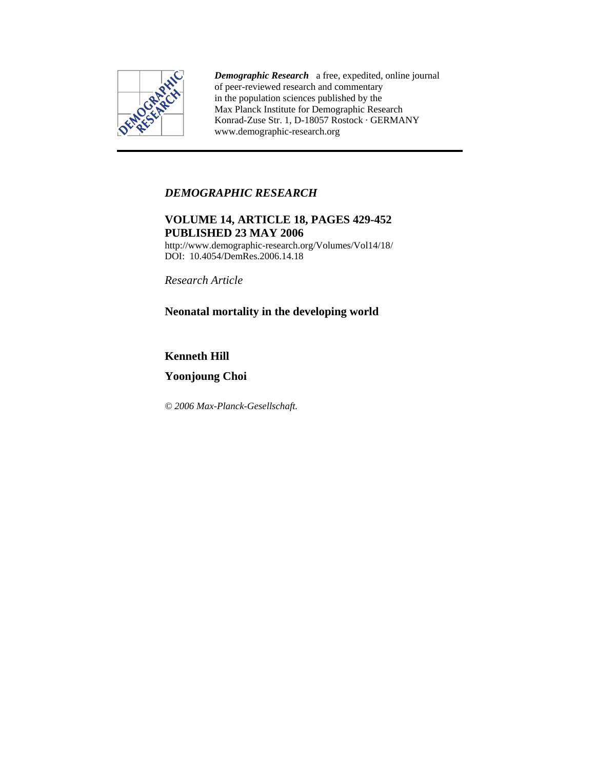

*Demographic Research* a free, expedited, online journal of peer-reviewed research and commentary in the population sciences published by the Max Planck Institute for Demographic Research Konrad-Zuse Str. 1, D-18057 Rostock · GERMANY www.demographic-research.org

# *DEMOGRAPHIC RESEARCH*

# **VOLUME 14, ARTICLE 18, PAGES 429-452 PUBLISHED 23 MAY 2006**

http://www.demographic-research.org/Volumes/Vol14/18/ DOI: 10.4054/DemRes.2006.14.18

*Research Article* 

# **Neonatal mortality in the developing world**

# **Kenneth Hill**

# **Yoonjoung Choi**

*© 2006 Max-Planck-Gesellschaft.*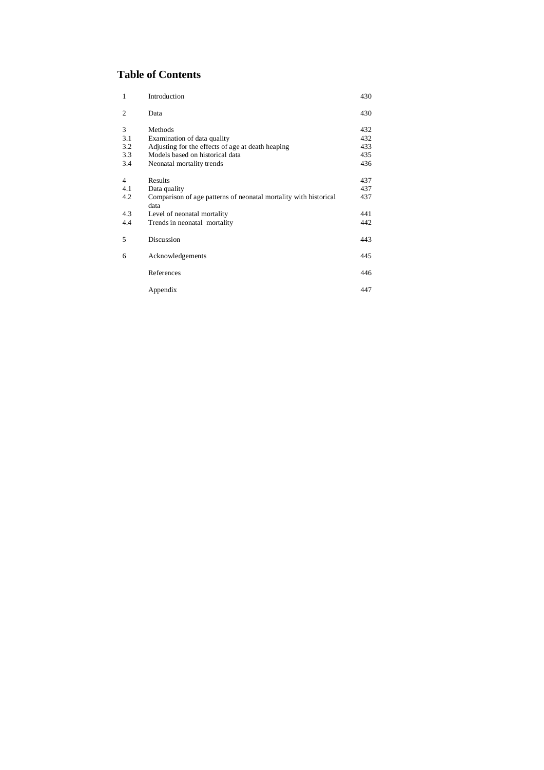# **Table of Contents**

| $\mathbf{1}$   | Introduction                                                             | 430 |
|----------------|--------------------------------------------------------------------------|-----|
| 2              | Data                                                                     | 430 |
| 3              | Methods                                                                  | 432 |
| 3.1            | Examination of data quality                                              | 432 |
| 3.2            | Adjusting for the effects of age at death heaping                        | 433 |
| 3.3            | Models based on historical data                                          | 435 |
| 3.4            | Neonatal mortality trends                                                | 436 |
| $\overline{4}$ | Results                                                                  | 437 |
| 4.1            | Data quality                                                             | 437 |
| 4.2            | Comparison of age patterns of neonatal mortality with historical<br>data | 437 |
| 4.3            | Level of neonatal mortality                                              | 441 |
| 4.4            | Trends in neonatal mortality                                             | 442 |
| 5              | Discussion                                                               | 443 |
| 6              | Acknowledgements                                                         | 445 |
|                | References                                                               | 446 |
|                | Appendix                                                                 | 447 |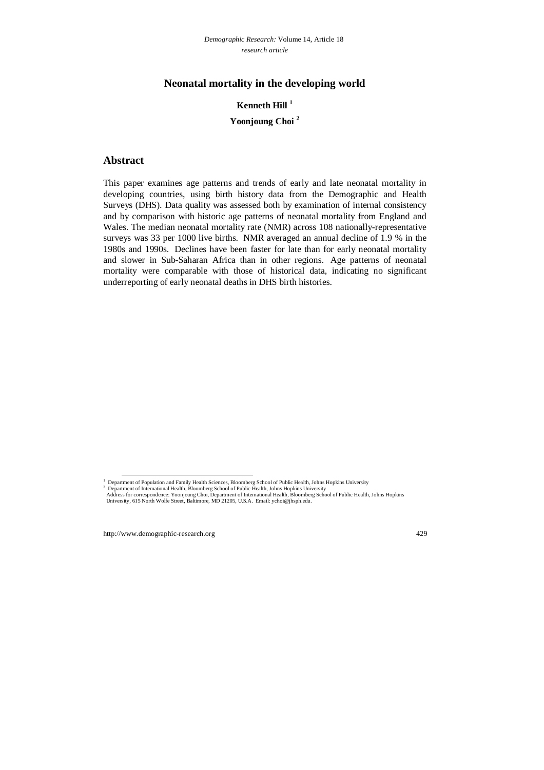# **Neonatal mortality in the developing world**

# **Kenneth Hill 1 Yoonjoung Choi <sup>2</sup>**

## **Abstract**

This paper examines age patterns and trends of early and late neonatal mortality in developing countries, using birth history data from the Demographic and Health Surveys (DHS). Data quality was assessed both by examination of internal consistency and by comparison with historic age patterns of neonatal mortality from England and Wales. The median neonatal mortality rate (NMR) across 108 nationally-representative surveys was 33 per 1000 live births. NMR averaged an annual decline of 1.9 % in the 1980s and 1990s. Declines have been faster for late than for early neonatal mortality and slower in Sub-Saharan Africa than in other regions. Age patterns of neonatal mortality were comparable with those of historical data, indicating no significant underreporting of early neonatal deaths in DHS birth histories.

 <sup>1</sup> Department of Population and Family Health Sciences, Bloomberg School of Public Health, Johns Hopkins University

<sup>&</sup>lt;sup>2</sup> Department of International Health, Bloomberg School of Public Health, Johns Hopkins University

Address for correspondence: Yoonjoung Choi, Department of International Health, Bloomberg School of Public Health, Johns Hopkins University, 615 North Wolfe Street, Baltimore, MD 21205, U.S.A. Email: ychoi@jhsph.edu.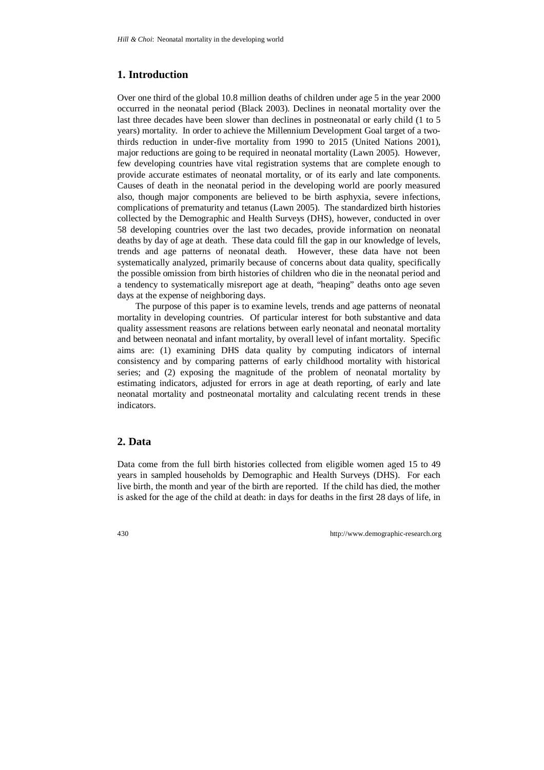# **1. Introduction**

Over one third of the global 10.8 million deaths of children under age 5 in the year 2000 occurred in the neonatal period (Black 2003). Declines in neonatal mortality over the last three decades have been slower than declines in postneonatal or early child (1 to 5 years) mortality. In order to achieve the Millennium Development Goal target of a twothirds reduction in under-five mortality from 1990 to 2015 (United Nations 2001), major reductions are going to be required in neonatal mortality (Lawn 2005). However, few developing countries have vital registration systems that are complete enough to provide accurate estimates of neonatal mortality, or of its early and late components. Causes of death in the neonatal period in the developing world are poorly measured also, though major components are believed to be birth asphyxia, severe infections, complications of prematurity and tetanus (Lawn 2005). The standardized birth histories collected by the Demographic and Health Surveys (DHS), however, conducted in over 58 developing countries over the last two decades, provide information on neonatal deaths by day of age at death. These data could fill the gap in our knowledge of levels, trends and age patterns of neonatal death. However, these data have not been systematically analyzed, primarily because of concerns about data quality, specifically the possible omission from birth histories of children who die in the neonatal period and a tendency to systematically misreport age at death, "heaping" deaths onto age seven days at the expense of neighboring days.

The purpose of this paper is to examine levels, trends and age patterns of neonatal mortality in developing countries. Of particular interest for both substantive and data quality assessment reasons are relations between early neonatal and neonatal mortality and between neonatal and infant mortality, by overall level of infant mortality. Specific aims are: (1) examining DHS data quality by computing indicators of internal consistency and by comparing patterns of early childhood mortality with historical series; and (2) exposing the magnitude of the problem of neonatal mortality by estimating indicators, adjusted for errors in age at death reporting, of early and late neonatal mortality and postneonatal mortality and calculating recent trends in these indicators.

## **2. Data**

Data come from the full birth histories collected from eligible women aged 15 to 49 years in sampled households by Demographic and Health Surveys (DHS). For each live birth, the month and year of the birth are reported. If the child has died, the mother is asked for the age of the child at death: in days for deaths in the first 28 days of life, in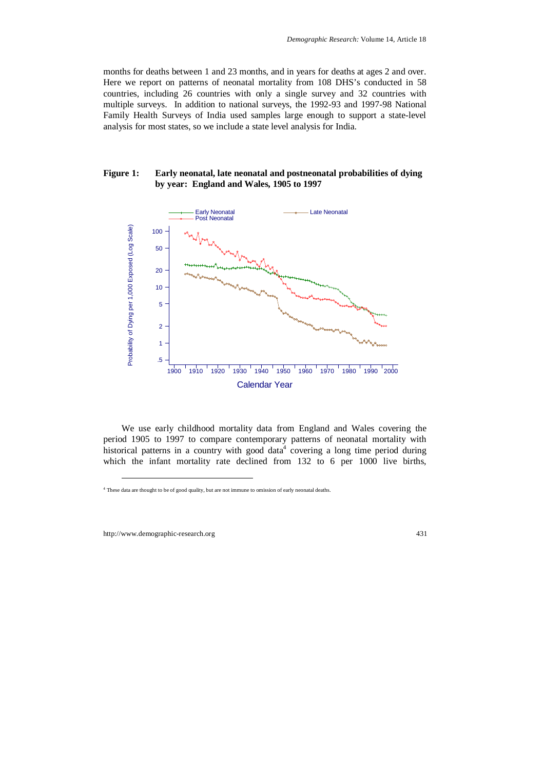months for deaths between 1 and 23 months, and in years for deaths at ages 2 and over. Here we report on patterns of neonatal mortality from 108 DHS's conducted in 58 countries, including 26 countries with only a single survey and 32 countries with multiple surveys. In addition to national surveys, the 1992-93 and 1997-98 National Family Health Surveys of India used samples large enough to support a state-level analysis for most states, so we include a state level analysis for India.

#### **Figure 1: Early neonatal, late neonatal and postneonatal probabilities of dying by year: England and Wales, 1905 to 1997**



We use early childhood mortality data from England and Wales covering the period 1905 to 1997 to compare contemporary patterns of neonatal mortality with historical patterns in a country with good data<sup>4</sup> covering a long time period during which the infant mortality rate declined from 132 to 6 per 1000 live births,

-

<sup>4</sup> These data are thought to be of good quality, but are not immune to omission of early neonatal deaths.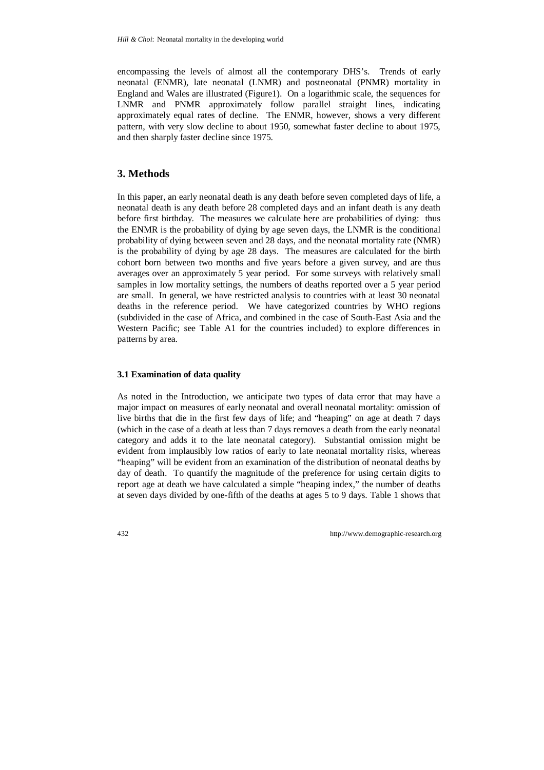encompassing the levels of almost all the contemporary DHS's. Trends of early neonatal (ENMR), late neonatal (LNMR) and postneonatal (PNMR) mortality in England and Wales are illustrated (Figure1). On a logarithmic scale, the sequences for LNMR and PNMR approximately follow parallel straight lines, indicating approximately equal rates of decline. The ENMR, however, shows a very different pattern, with very slow decline to about 1950, somewhat faster decline to about 1975, and then sharply faster decline since 1975.

# **3. Methods**

In this paper, an early neonatal death is any death before seven completed days of life, a neonatal death is any death before 28 completed days and an infant death is any death before first birthday. The measures we calculate here are probabilities of dying: thus the ENMR is the probability of dying by age seven days, the LNMR is the conditional probability of dying between seven and 28 days, and the neonatal mortality rate (NMR) is the probability of dying by age 28 days. The measures are calculated for the birth cohort born between two months and five years before a given survey, and are thus averages over an approximately 5 year period. For some surveys with relatively small samples in low mortality settings, the numbers of deaths reported over a 5 year period are small. In general, we have restricted analysis to countries with at least 30 neonatal deaths in the reference period. We have categorized countries by WHO regions (subdivided in the case of Africa, and combined in the case of South-East Asia and the Western Pacific; see Table A1 for the countries included) to explore differences in patterns by area.

### **3.1 Examination of data quality**

As noted in the Introduction, we anticipate two types of data error that may have a major impact on measures of early neonatal and overall neonatal mortality: omission of live births that die in the first few days of life; and "heaping" on age at death 7 days (which in the case of a death at less than 7 days removes a death from the early neonatal category and adds it to the late neonatal category). Substantial omission might be evident from implausibly low ratios of early to late neonatal mortality risks, whereas "heaping" will be evident from an examination of the distribution of neonatal deaths by day of death. To quantify the magnitude of the preference for using certain digits to report age at death we have calculated a simple "heaping index," the number of deaths at seven days divided by one-fifth of the deaths at ages 5 to 9 days. Table 1 shows that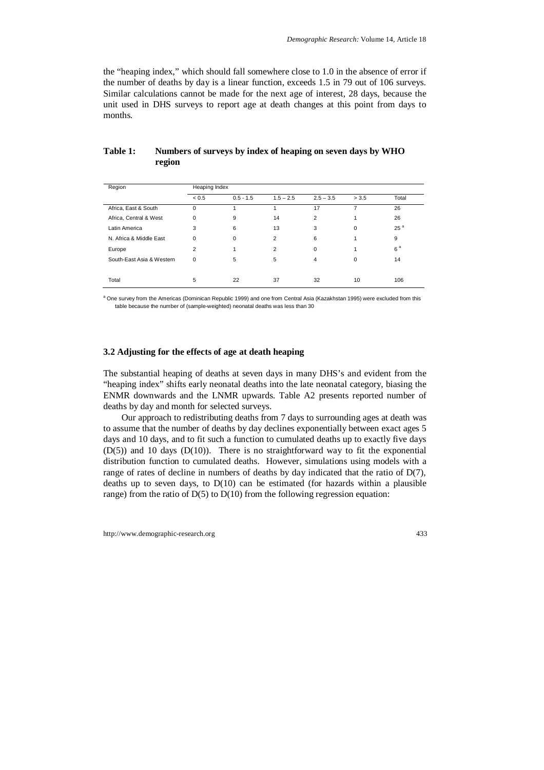the "heaping index," which should fall somewhere close to 1.0 in the absence of error if the number of deaths by day is a linear function, exceeds 1.5 in 79 out of 106 surveys. Similar calculations cannot be made for the next age of interest, 28 days, because the unit used in DHS surveys to report age at death changes at this point from days to months.

| Region                    | Heaping Index  |             |                |             |       |                 |  |  |
|---------------------------|----------------|-------------|----------------|-------------|-------|-----------------|--|--|
|                           | < 0.5          | $0.5 - 1.5$ | $1.5 - 2.5$    | $2.5 - 3.5$ | > 3.5 | Total           |  |  |
| Africa, East & South      | $\Omega$       |             |                | 17          | 7     | 26              |  |  |
| Africa, Central & West    | $\Omega$       | 9           | 14             | 2           |       | 26              |  |  |
| Latin America             | 3              | 6           | 13             | 3           | 0     | 25 <sup>a</sup> |  |  |
| N. Africa & Middle East   | $\mathbf 0$    | 0           | 2              | 6           |       | 9               |  |  |
| Europe                    | $\overline{2}$ | 1           | $\overline{2}$ | $\Omega$    |       | 6 <sup>a</sup>  |  |  |
| South-East Asia & Western | $\Omega$       | 5           | 5              | 4           | 0     | 14              |  |  |
|                           |                |             |                |             |       |                 |  |  |
| Total                     | 5              | 22          | 37             | 32          | 10    | 106             |  |  |

#### **Table 1: Numbers of surveys by index of heaping on seven days by WHO region**

<sup>a</sup> One survey from the Americas (Dominican Republic 1999) and one from Central Asia (Kazakhstan 1995) were excluded from this table because the number of (sample-weighted) neonatal deaths was less than 30

#### **3.2 Adjusting for the effects of age at death heaping**

The substantial heaping of deaths at seven days in many DHS's and evident from the "heaping index" shifts early neonatal deaths into the late neonatal category, biasing the ENMR downwards and the LNMR upwards. Table A2 presents reported number of deaths by day and month for selected surveys.

Our approach to redistributing deaths from 7 days to surrounding ages at death was to assume that the number of deaths by day declines exponentially between exact ages 5 days and 10 days, and to fit such a function to cumulated deaths up to exactly five days  $(D(5))$  and 10 days  $(D(10))$ . There is no straightforward way to fit the exponential distribution function to cumulated deaths. However, simulations using models with a range of rates of decline in numbers of deaths by day indicated that the ratio of  $D(7)$ , deaths up to seven days, to  $D(10)$  can be estimated (for hazards within a plausible range) from the ratio of  $D(5)$  to  $D(10)$  from the following regression equation: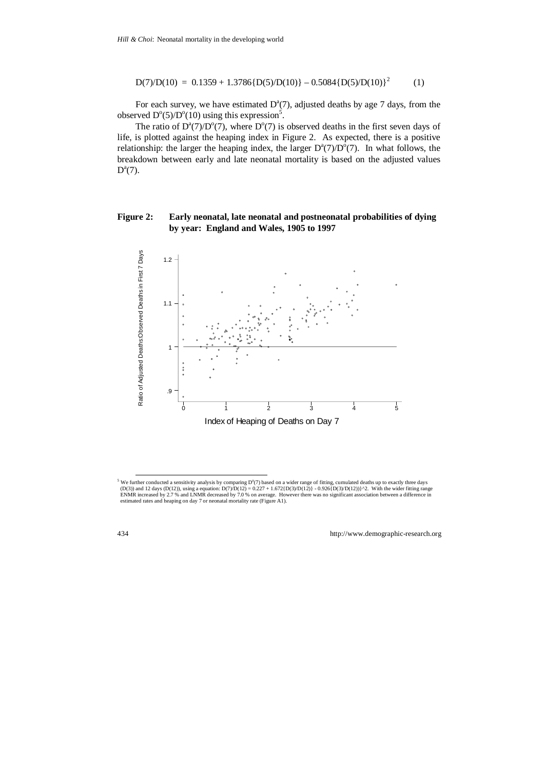$$
D(7)/D(10) = 0.1359 + 1.3786{D(5)/D(10)} - 0.5084{D(5)/D(10)}^2
$$
 (1)

For each survey, we have estimated  $D^a(7)$ , adjusted deaths by age 7 days, from the observed  $D^{\circ}(5)/D^{\circ}(10)$  using this expression<sup>5</sup>.

The ratio of  $D^a(7)/D^o(7)$ , where  $D^o(7)$  is observed deaths in the first seven days of life, is plotted against the heaping index in Figure 2. As expected, there is a positive relationship: the larger the heaping index, the larger  $D^a(7)/D^o(7)$ . In what follows, the breakdown between early and late neonatal mortality is based on the adjusted values  $D^a(7)$ .

#### **Figure 2: Early neonatal, late neonatal and postneonatal probabilities of dying by year: England and Wales, 1905 to 1997**



<sup>&</sup>lt;sup>5</sup> We further conducted a sensitivity analysis by comparing  $D^{\alpha}(7)$  based on a wider range of fitting, cumulated deaths up to exactly three days (D(3)) and 12 days (D(12)), using a equation:  $D(7)/D(12) = 0.227 + 1.672\{D(3)/D(12)\} - 0.926\{D(3)/D(12)\}^{\wedge}2$ . With the wider fitting range ENMR increased by 2.7 % and LNMR decreased by 7.0 % on average. However there was no significant association between a difference in estimated rates and heaping on day 7 or neonatal mortality rate (Figure A1).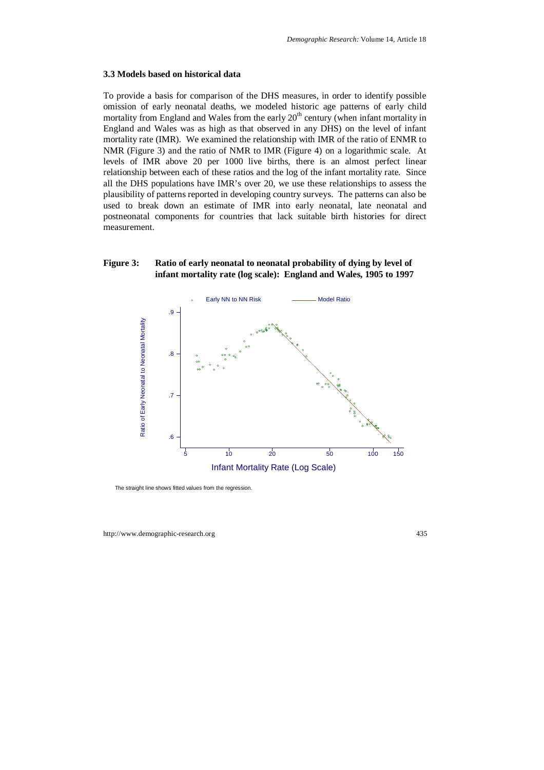#### **3.3 Models based on historical data**

To provide a basis for comparison of the DHS measures, in order to identify possible omission of early neonatal deaths, we modeled historic age patterns of early child mortality from England and Wales from the early  $20<sup>th</sup>$  century (when infant mortality in England and Wales was as high as that observed in any DHS) on the level of infant mortality rate (IMR). We examined the relationship with IMR of the ratio of ENMR to NMR (Figure 3) and the ratio of NMR to IMR (Figure 4) on a logarithmic scale. At levels of IMR above 20 per 1000 live births, there is an almost perfect linear relationship between each of these ratios and the log of the infant mortality rate. Since all the DHS populations have IMR's over 20, we use these relationships to assess the plausibility of patterns reported in developing country surveys. The patterns can also be used to break down an estimate of IMR into early neonatal, late neonatal and postneonatal components for countries that lack suitable birth histories for direct measurement.

### **Figure 3: Ratio of early neonatal to neonatal probability of dying by level of infant mortality rate (log scale): England and Wales, 1905 to 1997**



The straight line shows fitted values from the regression.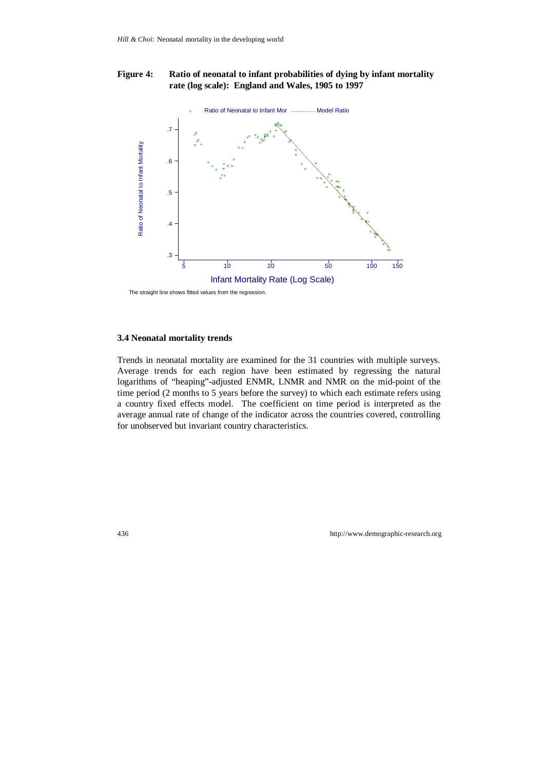### **Figure 4: Ratio of neonatal to infant probabilities of dying by infant mortality rate (log scale): England and Wales, 1905 to 1997**



The straight line shows fitted values from the regression.

#### **3.4 Neonatal mortality trends**

Trends in neonatal mortality are examined for the 31 countries with multiple surveys. Average trends for each region have been estimated by regressing the natural logarithms of "heaping"-adjusted ENMR, LNMR and NMR on the mid-point of the time period (2 months to 5 years before the survey) to which each estimate refers using a country fixed effects model. The coefficient on time period is interpreted as the average annual rate of change of the indicator across the countries covered, controlling for unobserved but invariant country characteristics.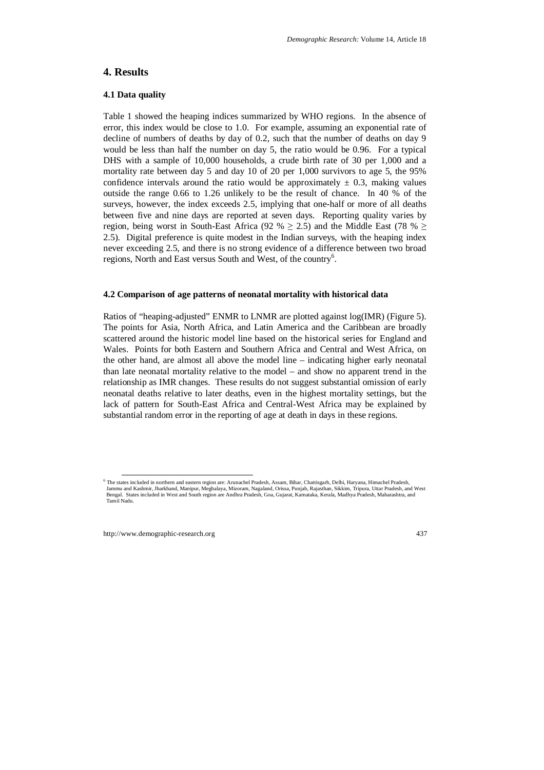## **4. Results**

### **4.1 Data quality**

Table 1 showed the heaping indices summarized by WHO regions. In the absence of error, this index would be close to 1.0. For example, assuming an exponential rate of decline of numbers of deaths by day of 0.2, such that the number of deaths on day 9 would be less than half the number on day 5, the ratio would be 0.96. For a typical DHS with a sample of 10,000 households, a crude birth rate of 30 per 1,000 and a mortality rate between day 5 and day 10 of 20 per 1,000 survivors to age 5, the 95% confidence intervals around the ratio would be approximately  $\pm$  0.3, making values outside the range 0.66 to 1.26 unlikely to be the result of chance. In 40 % of the surveys, however, the index exceeds 2.5, implying that one-half or more of all deaths between five and nine days are reported at seven days. Reporting quality varies by region, being worst in South-East Africa (92 %  $> 2.5$ ) and the Middle East (78 %  $>$ 2.5). Digital preference is quite modest in the Indian surveys, with the heaping index never exceeding 2.5, and there is no strong evidence of a difference between two broad regions, North and East versus South and West, of the country<sup>6</sup>.

#### **4.2 Comparison of age patterns of neonatal mortality with historical data**

Ratios of "heaping-adjusted" ENMR to LNMR are plotted against log(IMR) (Figure 5). The points for Asia, North Africa, and Latin America and the Caribbean are broadly scattered around the historic model line based on the historical series for England and Wales. Points for both Eastern and Southern Africa and Central and West Africa, on the other hand, are almost all above the model line – indicating higher early neonatal than late neonatal mortality relative to the model – and show no apparent trend in the relationship as IMR changes. These results do not suggest substantial omission of early neonatal deaths relative to later deaths, even in the highest mortality settings, but the lack of pattern for South-East Africa and Central-West Africa may be explained by substantial random error in the reporting of age at death in days in these regions.

 <sup>6</sup> The states included in northern and eastern region are: Arunachel Pradesh, Assam, Bihar, Chattisgarh, Delhi, Haryana, Himachel Pradesh, Jammu and Kashmir, Jharkhand, Manipur, Meghalaya, Mizoram, Nagaland, Orissa, Punjab, Rajasthan, Sikkim, Tripura, Uttar Pradesh, and West Bengal. States included in West and South region are Andhra Pradesh, Goa, Gujarat, Karnataka, Kerala, Madhya Pradesh, Maharashtra, and Tamil Nadu.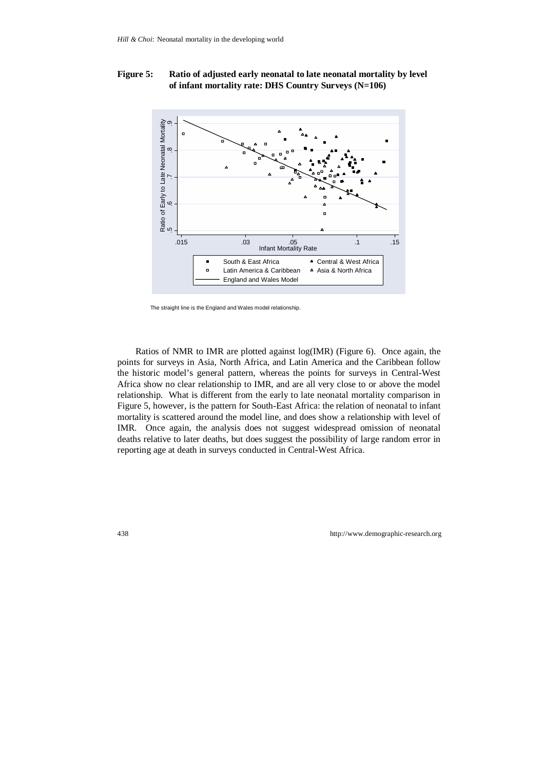### **Figure 5: Ratio of adjusted early neonatal to late neonatal mortality by level of infant mortality rate: DHS Country Surveys (N=106)**



The straight line is the England and Wales model relationship.

Ratios of NMR to IMR are plotted against log(IMR) (Figure 6). Once again, the points for surveys in Asia, North Africa, and Latin America and the Caribbean follow the historic model's general pattern, whereas the points for surveys in Central-West Africa show no clear relationship to IMR, and are all very close to or above the model relationship. What is different from the early to late neonatal mortality comparison in Figure 5, however, is the pattern for South-East Africa: the relation of neonatal to infant mortality is scattered around the model line, and does show a relationship with level of IMR. Once again, the analysis does not suggest widespread omission of neonatal deaths relative to later deaths, but does suggest the possibility of large random error in reporting age at death in surveys conducted in Central-West Africa.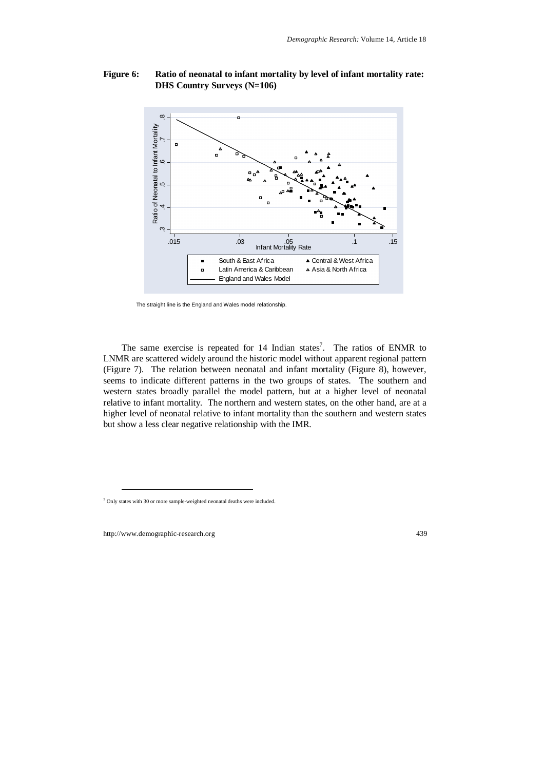### **Figure 6: Ratio of neonatal to infant mortality by level of infant mortality rate: DHS Country Surveys (N=106)**



The straight line is the England and Wales model relationship.

The same exercise is repeated for  $14$  Indian states<sup>7</sup>. The ratios of ENMR to LNMR are scattered widely around the historic model without apparent regional pattern (Figure 7). The relation between neonatal and infant mortality (Figure 8), however, seems to indicate different patterns in the two groups of states. The southern and western states broadly parallel the model pattern, but at a higher level of neonatal relative to infant mortality. The northern and western states, on the other hand, are at a higher level of neonatal relative to infant mortality than the southern and western states but show a less clear negative relationship with the IMR.

-

<sup>7</sup> Only states with 30 or more sample-weighted neonatal deaths were included.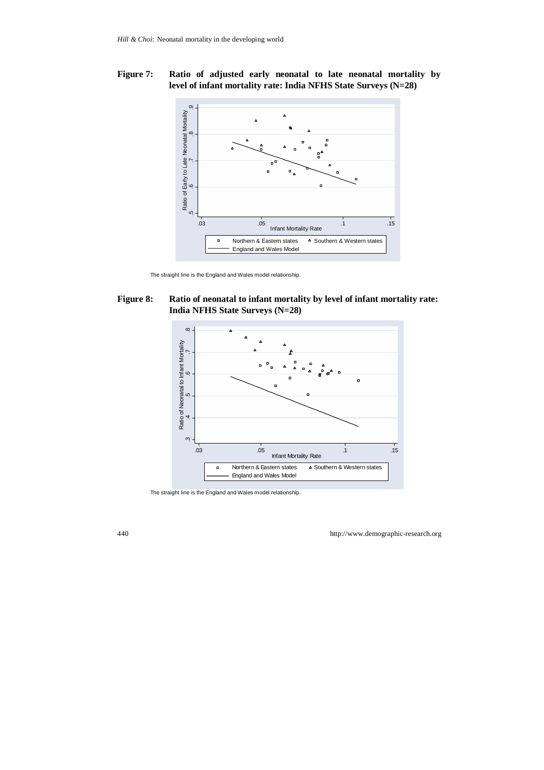### **Figure 7: Ratio of adjusted early neonatal to late neonatal mortality by level of infant mortality rate: India NFHS State Surveys (N=28)**



The straight line is the England and Wales model relationship.

### **Figure 8: Ratio of neonatal to infant mortality by level of infant mortality rate: India NFHS State Surveys (N=28)**



The straight line is the England and Wales model relationship.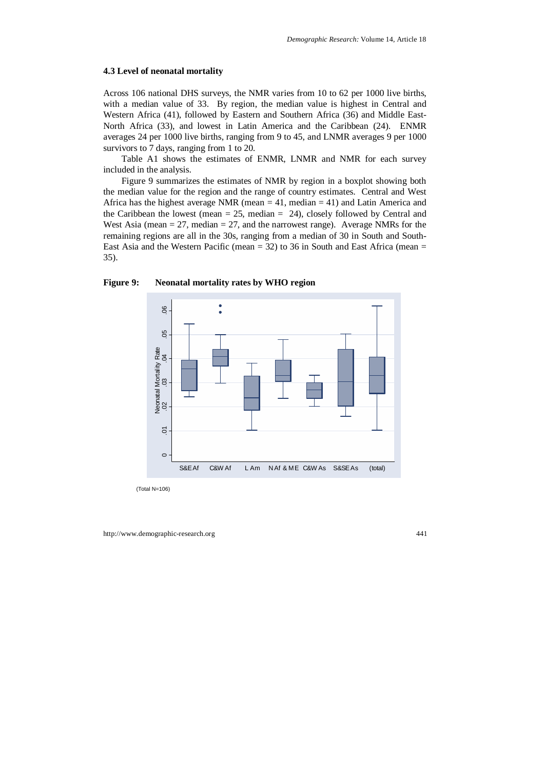#### **4.3 Level of neonatal mortality**

Across 106 national DHS surveys, the NMR varies from 10 to 62 per 1000 live births, with a median value of 33. By region, the median value is highest in Central and Western Africa (41), followed by Eastern and Southern Africa (36) and Middle East-North Africa (33), and lowest in Latin America and the Caribbean (24). ENMR averages 24 per 1000 live births, ranging from 9 to 45, and LNMR averages 9 per 1000 survivors to 7 days, ranging from 1 to 20.

Table A1 shows the estimates of ENMR, LNMR and NMR for each survey included in the analysis.

Figure 9 summarizes the estimates of NMR by region in a boxplot showing both the median value for the region and the range of country estimates. Central and West Africa has the highest average NMR (mean  $= 41$ , median  $= 41$ ) and Latin America and the Caribbean the lowest (mean  $= 25$ , median  $= 24$ ), closely followed by Central and West Asia (mean  $= 27$ , median  $= 27$ , and the narrowest range). Average NMRs for the remaining regions are all in the 30s, ranging from a median of 30 in South and South-East Asia and the Western Pacific (mean  $=$  32) to 36 in South and East Africa (mean  $=$ 35).



#### **Figure 9: Neonatal mortality rates by WHO region**

(Total N=106)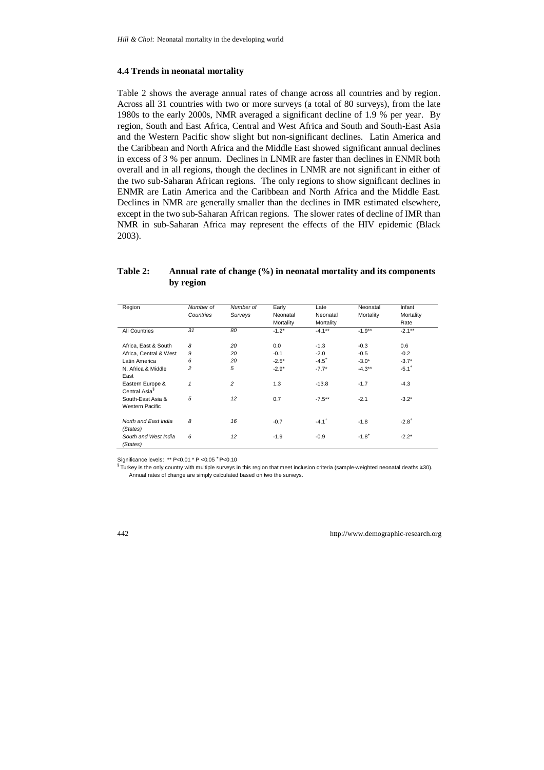#### **4.4 Trends in neonatal mortality**

Table 2 shows the average annual rates of change across all countries and by region. Across all 31 countries with two or more surveys (a total of 80 surveys), from the late 1980s to the early 2000s, NMR averaged a significant decline of 1.9 % per year. By region, South and East Africa, Central and West Africa and South and South-East Asia and the Western Pacific show slight but non-significant declines. Latin America and the Caribbean and North Africa and the Middle East showed significant annual declines in excess of 3 % per annum. Declines in LNMR are faster than declines in ENMR both overall and in all regions, though the declines in LNMR are not significant in either of the two sub-Saharan African regions. The only regions to show significant declines in ENMR are Latin America and the Caribbean and North Africa and the Middle East. Declines in NMR are generally smaller than the declines in IMR estimated elsewhere, except in the two sub-Saharan African regions. The slower rates of decline of IMR than NMR in sub-Saharan Africa may represent the effects of the HIV epidemic (Black 2003).

#### **Table 2: Annual rate of change (%) in neonatal mortality and its components by region**

| Region                                        | Number of<br>Countries | Number of<br>Surveys | Early<br>Neonatal | Late<br>Neonatal    | Neonatal<br>Mortality | Infant<br>Mortality |
|-----------------------------------------------|------------------------|----------------------|-------------------|---------------------|-----------------------|---------------------|
|                                               |                        |                      | Mortality         | Mortality           |                       | Rate                |
| <b>All Countries</b>                          | 31                     | 80                   | $-1.2*$           | $-4.1***$           | $-1.9**$              | $-2.1***$           |
| Africa. East & South                          | 8                      | 20                   | 0.0               | $-1.3$              | $-0.3$                | 0.6                 |
| Africa, Central & West                        | 9                      | 20                   | $-0.1$            | $-2.0$              | $-0.5$                | $-0.2$              |
| Latin America                                 | 6                      | 20                   | $-2.5*$           | $-4.5^{+}$          | $-3.0*$               | $-3.7*$             |
| N. Africa & Middle<br>East                    | $\overline{c}$         | 5                    | $-2.9*$           | $-7.7*$             | $-4.3**$              | $-5.1$ <sup>+</sup> |
| Eastern Europe &<br>Central Asia <sup>§</sup> | $\mathbf{1}$           | 2                    | 1.3               | $-13.8$             | $-1.7$                | $-4.3$              |
| South-East Asia &<br><b>Western Pacific</b>   | 5                      | 12                   | 0.7               | $-7.5***$           | $-2.1$                | $-3.2*$             |
| North and East India<br>(States)              | 8                      | 16                   | $-0.7$            | $-4.1$ <sup>+</sup> | $-1.8$                | $-2.8^{+}$          |
| South and West India<br>(States)              | 6                      | 12                   | $-1.9$            | $-0.9$              | $-1.8^{+}$            | $-2.2*$             |

Significance levels: \*\* P<0.01 \* P <0.05 \* P<0.10<br>§ Turkey is the only country with multiple surveys in this region that meet inclusion criteria (sample-weighted neonatal deaths ≥30). Annual rates of change are simply calculated based on two the surveys.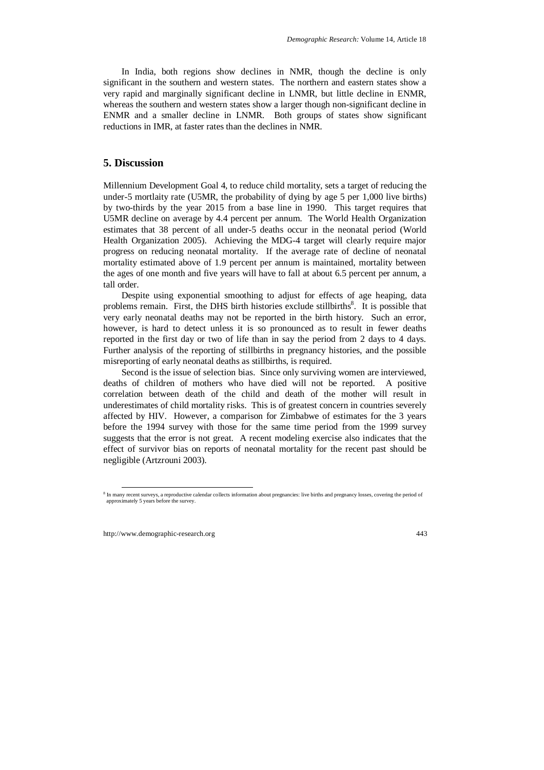In India, both regions show declines in NMR, though the decline is only significant in the southern and western states. The northern and eastern states show a very rapid and marginally significant decline in LNMR, but little decline in ENMR, whereas the southern and western states show a larger though non-significant decline in ENMR and a smaller decline in LNMR. Both groups of states show significant reductions in IMR, at faster rates than the declines in NMR.

### **5. Discussion**

Millennium Development Goal 4, to reduce child mortality, sets a target of reducing the under-5 mortlaity rate (U5MR, the probability of dying by age 5 per 1,000 live births) by two-thirds by the year 2015 from a base line in 1990. This target requires that U5MR decline on average by 4.4 percent per annum. The World Health Organization estimates that 38 percent of all under-5 deaths occur in the neonatal period (World Health Organization 2005). Achieving the MDG-4 target will clearly require major progress on reducing neonatal mortality. If the average rate of decline of neonatal mortality estimated above of 1.9 percent per annum is maintained, mortality between the ages of one month and five years will have to fall at about 6.5 percent per annum, a tall order.

Despite using exponential smoothing to adjust for effects of age heaping, data problems remain. First, the DHS birth histories exclude stillbirths<sup>8</sup>. It is possible that very early neonatal deaths may not be reported in the birth history. Such an error, however, is hard to detect unless it is so pronounced as to result in fewer deaths reported in the first day or two of life than in say the period from 2 days to 4 days. Further analysis of the reporting of stillbirths in pregnancy histories, and the possible misreporting of early neonatal deaths as stillbirths, is required.

Second is the issue of selection bias. Since only surviving women are interviewed, deaths of children of mothers who have died will not be reported. A positive correlation between death of the child and death of the mother will result in underestimates of child mortality risks. This is of greatest concern in countries severely affected by HIV. However, a comparison for Zimbabwe of estimates for the 3 years before the 1994 survey with those for the same time period from the 1999 survey suggests that the error is not great. A recent modeling exercise also indicates that the effect of survivor bias on reports of neonatal mortality for the recent past should be negligible (Artzrouni 2003).

<sup>&</sup>lt;sup>8</sup> In many recent surveys, a reproductive calendar collects information about pregnancies: live births and pregnancy losses, covering the period of approximately 5 years before the survey.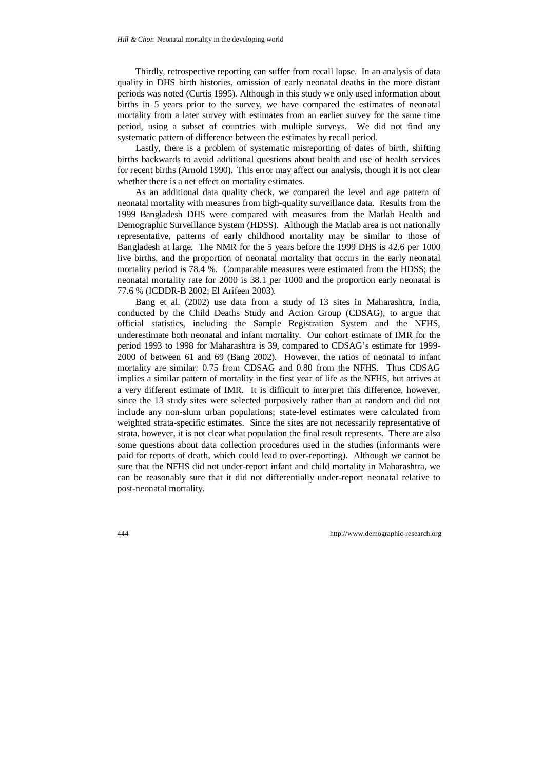Thirdly, retrospective reporting can suffer from recall lapse. In an analysis of data quality in DHS birth histories, omission of early neonatal deaths in the more distant periods was noted (Curtis 1995). Although in this study we only used information about births in 5 years prior to the survey, we have compared the estimates of neonatal mortality from a later survey with estimates from an earlier survey for the same time period, using a subset of countries with multiple surveys. We did not find any systematic pattern of difference between the estimates by recall period.

Lastly, there is a problem of systematic misreporting of dates of birth, shifting births backwards to avoid additional questions about health and use of health services for recent births (Arnold 1990). This error may affect our analysis, though it is not clear whether there is a net effect on mortality estimates.

As an additional data quality check, we compared the level and age pattern of neonatal mortality with measures from high-quality surveillance data. Results from the 1999 Bangladesh DHS were compared with measures from the Matlab Health and Demographic Surveillance System (HDSS). Although the Matlab area is not nationally representative, patterns of early childhood mortality may be similar to those of Bangladesh at large. The NMR for the 5 years before the 1999 DHS is 42.6 per 1000 live births, and the proportion of neonatal mortality that occurs in the early neonatal mortality period is 78.4 %. Comparable measures were estimated from the HDSS; the neonatal mortality rate for 2000 is 38.1 per 1000 and the proportion early neonatal is 77.6 % (ICDDR-B 2002; El Arifeen 2003).

Bang et al. (2002) use data from a study of 13 sites in Maharashtra, India, conducted by the Child Deaths Study and Action Group (CDSAG), to argue that official statistics, including the Sample Registration System and the NFHS, underestimate both neonatal and infant mortality. Our cohort estimate of IMR for the period 1993 to 1998 for Maharashtra is 39, compared to CDSAG's estimate for 1999- 2000 of between 61 and 69 (Bang 2002). However, the ratios of neonatal to infant mortality are similar: 0.75 from CDSAG and 0.80 from the NFHS. Thus CDSAG implies a similar pattern of mortality in the first year of life as the NFHS, but arrives at a very different estimate of IMR. It is difficult to interpret this difference, however, since the 13 study sites were selected purposively rather than at random and did not include any non-slum urban populations; state-level estimates were calculated from weighted strata-specific estimates. Since the sites are not necessarily representative of strata, however, it is not clear what population the final result represents. There are also some questions about data collection procedures used in the studies (informants were paid for reports of death, which could lead to over-reporting). Although we cannot be sure that the NFHS did not under-report infant and child mortality in Maharashtra, we can be reasonably sure that it did not differentially under-report neonatal relative to post-neonatal mortality.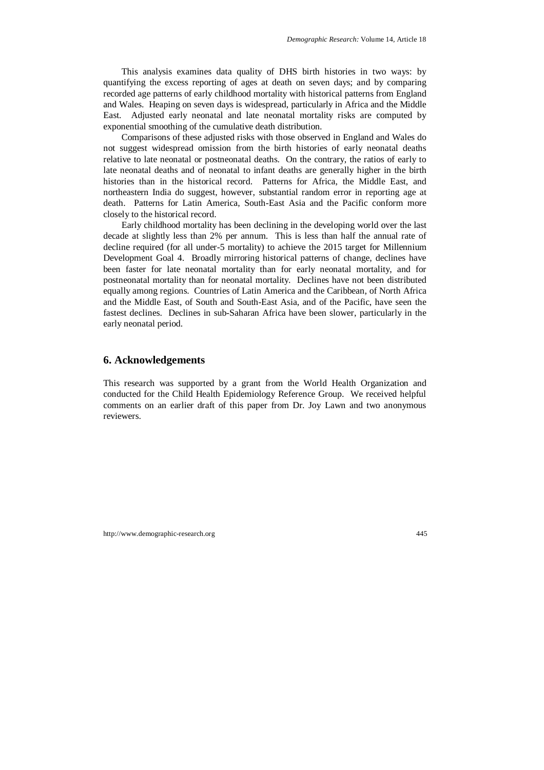This analysis examines data quality of DHS birth histories in two ways: by quantifying the excess reporting of ages at death on seven days; and by comparing recorded age patterns of early childhood mortality with historical patterns from England and Wales. Heaping on seven days is widespread, particularly in Africa and the Middle East. Adjusted early neonatal and late neonatal mortality risks are computed by exponential smoothing of the cumulative death distribution.

Comparisons of these adjusted risks with those observed in England and Wales do not suggest widespread omission from the birth histories of early neonatal deaths relative to late neonatal or postneonatal deaths. On the contrary, the ratios of early to late neonatal deaths and of neonatal to infant deaths are generally higher in the birth histories than in the historical record. Patterns for Africa, the Middle East, and northeastern India do suggest, however, substantial random error in reporting age at death. Patterns for Latin America, South-East Asia and the Pacific conform more closely to the historical record.

Early childhood mortality has been declining in the developing world over the last decade at slightly less than 2% per annum. This is less than half the annual rate of decline required (for all under-5 mortality) to achieve the 2015 target for Millennium Development Goal 4. Broadly mirroring historical patterns of change, declines have been faster for late neonatal mortality than for early neonatal mortality, and for postneonatal mortality than for neonatal mortality. Declines have not been distributed equally among regions. Countries of Latin America and the Caribbean, of North Africa and the Middle East, of South and South-East Asia, and of the Pacific, have seen the fastest declines. Declines in sub-Saharan Africa have been slower, particularly in the early neonatal period.

# **6. Acknowledgements**

This research was supported by a grant from the World Health Organization and conducted for the Child Health Epidemiology Reference Group. We received helpful comments on an earlier draft of this paper from Dr. Joy Lawn and two anonymous reviewers.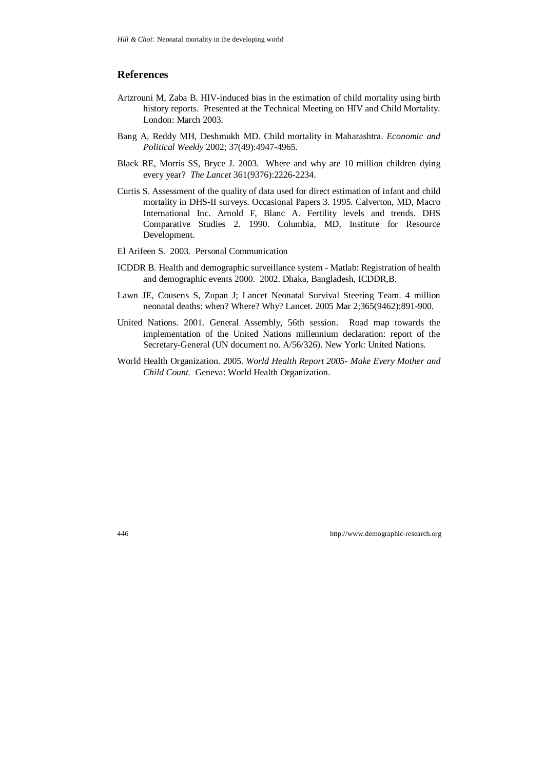## **References**

- Artzrouni M, Zaba B. HIV-induced bias in the estimation of child mortality using birth history reports. Presented at the Technical Meeting on HIV and Child Mortality. London: March 2003.
- Bang A, Reddy MH, Deshmukh MD. Child mortality in Maharashtra. *Economic and Political Weekly* 2002; 37(49):4947-4965.
- Black RE, Morris SS, Bryce J. 2003. Where and why are 10 million children dying every year? *The Lancet* 361(9376):2226-2234.
- Curtis S. Assessment of the quality of data used for direct estimation of infant and child mortality in DHS-II surveys. Occasional Papers 3. 1995. Calverton, MD, Macro International Inc. Arnold F, Blanc A. Fertility levels and trends. DHS Comparative Studies 2. 1990. Columbia, MD, Institute for Resource Development.
- El Arifeen S. 2003. Personal Communication
- ICDDR B. Health and demographic surveillance system Matlab: Registration of health and demographic events 2000. 2002. Dhaka, Bangladesh, ICDDR,B.
- Lawn JE, Cousens S, Zupan J; Lancet Neonatal Survival Steering Team. 4 million neonatal deaths: when? Where? Why? Lancet. 2005 Mar 2;365(9462):891-900.
- United Nations. 2001. General Assembly, 56th session. Road map towards the implementation of the United Nations millennium declaration: report of the Secretary-General (UN document no. A/56/326). New York: United Nations.
- World Health Organization. 2005. *World Health Report 2005- Make Every Mother and Child Count.* Geneva: World Health Organization.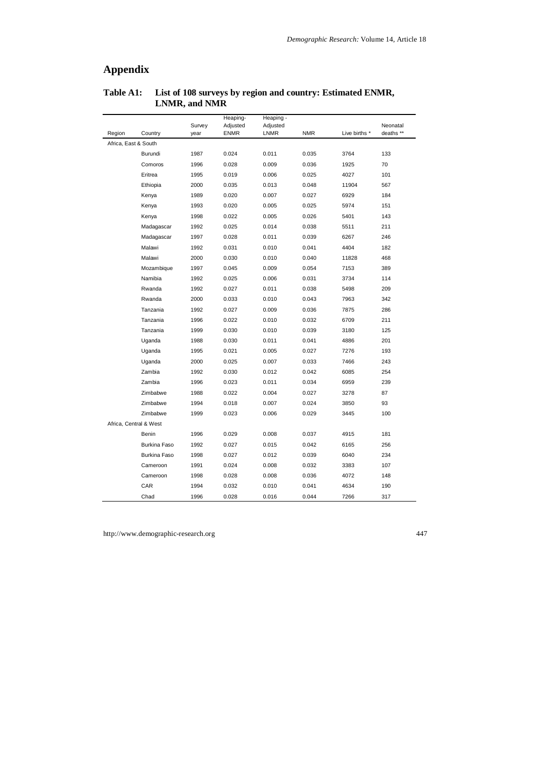# **Appendix**

|                      |                        | Survey | Heaping-<br>Adjusted | Heaping -<br>Adjusted |            |               | Neonatal  |
|----------------------|------------------------|--------|----------------------|-----------------------|------------|---------------|-----------|
| Region               | Country                | year   | <b>ENMR</b>          | LNMR                  | <b>NMR</b> | Live births * | deaths ** |
| Africa, East & South |                        |        |                      |                       |            |               |           |
|                      | Burundi                | 1987   | 0.024                | 0.011                 | 0.035      | 3764          | 133       |
|                      | Comoros                | 1996   | 0.028                | 0.009                 | 0.036      | 1925          | 70        |
|                      | Eritrea                | 1995   | 0.019                | 0.006                 | 0.025      | 4027          | 101       |
|                      | Ethiopia               | 2000   | 0.035                | 0.013                 | 0.048      | 11904         | 567       |
|                      | Kenya                  | 1989   | 0.020                | 0.007                 | 0.027      | 6929          | 184       |
|                      | Kenya                  | 1993   | 0.020                | 0.005                 | 0.025      | 5974          | 151       |
|                      | Kenya                  | 1998   | 0.022                | 0.005                 | 0.026      | 5401          | 143       |
|                      | Madagascar             | 1992   | 0.025                | 0.014                 | 0.038      | 5511          | 211       |
|                      | Madagascar             | 1997   | 0.028                | 0.011                 | 0.039      | 6267          | 246       |
|                      | Malawi                 | 1992   | 0.031                | 0.010                 | 0.041      | 4404          | 182       |
|                      | Malawi                 | 2000   | 0.030                | 0.010                 | 0.040      | 11828         | 468       |
|                      | Mozambique             | 1997   | 0.045                | 0.009                 | 0.054      | 7153          | 389       |
|                      | Namibia                | 1992   | 0.025                | 0.006                 | 0.031      | 3734          | 114       |
|                      | Rwanda                 | 1992   | 0.027                | 0.011                 | 0.038      | 5498          | 209       |
|                      | Rwanda                 | 2000   | 0.033                | 0.010                 | 0.043      | 7963          | 342       |
|                      | Tanzania               | 1992   | 0.027                | 0.009                 | 0.036      | 7875          | 286       |
|                      | Tanzania               | 1996   | 0.022                | 0.010                 | 0.032      | 6709          | 211       |
|                      | Tanzania               | 1999   | 0.030                | 0.010                 | 0.039      | 3180          | 125       |
|                      | Uganda                 | 1988   | 0.030                | 0.011                 | 0.041      | 4886          | 201       |
|                      | Uganda                 | 1995   | 0.021                | 0.005                 | 0.027      | 7276          | 193       |
|                      | Uganda                 | 2000   | 0.025                | 0.007                 | 0.033      | 7466          | 243       |
|                      | Zambia                 | 1992   | 0.030                | 0.012                 | 0.042      | 6085          | 254       |
|                      | Zambia                 | 1996   | 0.023                | 0.011                 | 0.034      | 6959          | 239       |
|                      | Zimbabwe               | 1988   | 0.022                | 0.004                 | 0.027      | 3278          | 87        |
|                      | Zimbabwe               | 1994   | 0.018                | 0.007                 | 0.024      | 3850          | 93        |
|                      | Zimbabwe               | 1999   | 0.023                | 0.006                 | 0.029      | 3445          | 100       |
|                      | Africa, Central & West |        |                      |                       |            |               |           |
|                      | Benin                  | 1996   | 0.029                | 0.008                 | 0.037      | 4915          | 181       |
|                      | Burkina Faso           | 1992   | 0.027                | 0.015                 | 0.042      | 6165          | 256       |
|                      | Burkina Faso           | 1998   | 0.027                | 0.012                 | 0.039      | 6040          | 234       |
|                      | Cameroon               | 1991   | 0.024                | 0.008                 | 0.032      | 3383          | 107       |
|                      | Cameroon               | 1998   | 0.028                | 0.008                 | 0.036      | 4072          | 148       |
|                      | CAR                    | 1994   | 0.032                | 0.010                 | 0.041      | 4634          | 190       |
|                      | Chad                   | 1996   | 0.028                | 0.016                 | 0.044      | 7266          | 317       |

## **Table A1: List of 108 surveys by region and country: Estimated ENMR, LNMR, and NMR**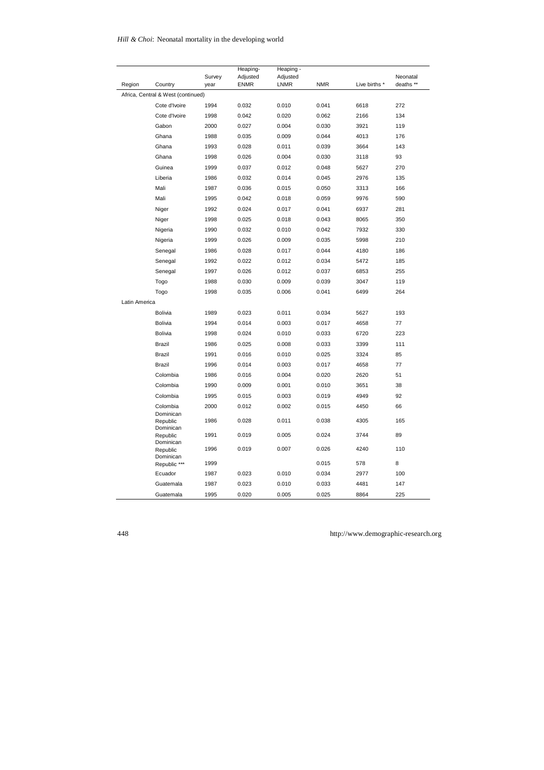### *Hill & Choi*: Neonatal mortality in the developing world

|               |                                    | Survey | Heaping-<br>Adjusted | Heaping -<br>Adjusted |            |               | Neonatal  |
|---------------|------------------------------------|--------|----------------------|-----------------------|------------|---------------|-----------|
| Region        | Country                            | year   | <b>ENMR</b>          | <b>LNMR</b>           | <b>NMR</b> | Live births * | deaths ** |
|               | Africa, Central & West (continued) |        |                      |                       |            |               |           |
|               | Cote d'Ivoire                      | 1994   | 0.032                | 0.010                 | 0.041      | 6618          | 272       |
|               | Cote d'Ivoire                      | 1998   | 0.042                | 0.020                 | 0.062      | 2166          | 134       |
|               | Gabon                              | 2000   | 0.027                | 0.004                 | 0.030      | 3921          | 119       |
|               | Ghana                              | 1988   | 0.035                | 0.009                 | 0.044      | 4013          | 176       |
|               | Ghana                              | 1993   | 0.028                | 0.011                 | 0.039      | 3664          | 143       |
|               | Ghana                              | 1998   | 0.026                | 0.004                 | 0.030      | 3118          | 93        |
|               | Guinea                             | 1999   | 0.037                | 0.012                 | 0.048      | 5627          | 270       |
|               | Liberia                            | 1986   | 0.032                | 0.014                 | 0.045      | 2976          | 135       |
|               | Mali                               | 1987   | 0.036                | 0.015                 | 0.050      | 3313          | 166       |
|               | Mali                               | 1995   | 0.042                | 0.018                 | 0.059      | 9976          | 590       |
|               | Niger                              | 1992   | 0.024                | 0.017                 | 0.041      | 6937          | 281       |
|               | Niger                              | 1998   | 0.025                | 0.018                 | 0.043      | 8065          | 350       |
|               | Nigeria                            | 1990   | 0.032                | 0.010                 | 0.042      | 7932          | 330       |
|               | Nigeria                            | 1999   | 0.026                | 0.009                 | 0.035      | 5998          | 210       |
|               | Senegal                            | 1986   | 0.028                | 0.017                 | 0.044      | 4180          | 186       |
|               | Senegal                            | 1992   | 0.022                | 0.012                 | 0.034      | 5472          | 185       |
|               | Senegal                            | 1997   | 0.026                | 0.012                 | 0.037      | 6853          | 255       |
|               | Togo                               | 1988   | 0.030                | 0.009                 | 0.039      | 3047          | 119       |
|               | Togo                               | 1998   | 0.035                | 0.006                 | 0.041      | 6499          | 264       |
| Latin America |                                    |        |                      |                       |            |               |           |
|               | Bolivia                            | 1989   | 0.023                | 0.011                 | 0.034      | 5627          | 193       |
|               | Bolivia                            | 1994   | 0.014                | 0.003                 | 0.017      | 4658          | 77        |
|               | Bolivia                            | 1998   | 0.024                | 0.010                 | 0.033      | 6720          | 223       |
|               | Brazil                             | 1986   | 0.025                | 0.008                 | 0.033      | 3399          | 111       |
|               | Brazil                             | 1991   | 0.016                | 0.010                 | 0.025      | 3324          | 85        |
|               | Brazil                             | 1996   | 0.014                | 0.003                 | 0.017      | 4658          | 77        |
|               | Colombia                           | 1986   | 0.016                | 0.004                 | 0.020      | 2620          | 51        |
|               | Colombia                           | 1990   | 0.009                | 0.001                 | 0.010      | 3651          | 38        |
|               | Colombia                           | 1995   | 0.015                | 0.003                 | 0.019      | 4949          | 92        |
|               | Colombia                           | 2000   | 0.012                | 0.002                 | 0.015      | 4450          | 66        |
|               | Dominican<br>Republic<br>Dominican | 1986   | 0.028                | 0.011                 | 0.038      | 4305          | 165       |
|               | Republic<br>Dominican              | 1991   | 0.019                | 0.005                 | 0.024      | 3744          | 89        |
|               | Republic<br>Dominican              | 1996   | 0.019                | 0.007                 | 0.026      | 4240          | 110       |
|               | Republic ***                       | 1999   |                      |                       | 0.015      | 578           | 8         |
|               | Ecuador                            | 1987   | 0.023                | 0.010                 | 0.034      | 2977          | 100       |
|               | Guatemala                          | 1987   | 0.023                | 0.010                 | 0.033      | 4481          | 147       |
|               | Guatemala                          | 1995   | 0.020                | 0.005                 | 0.025      | 8864          | 225       |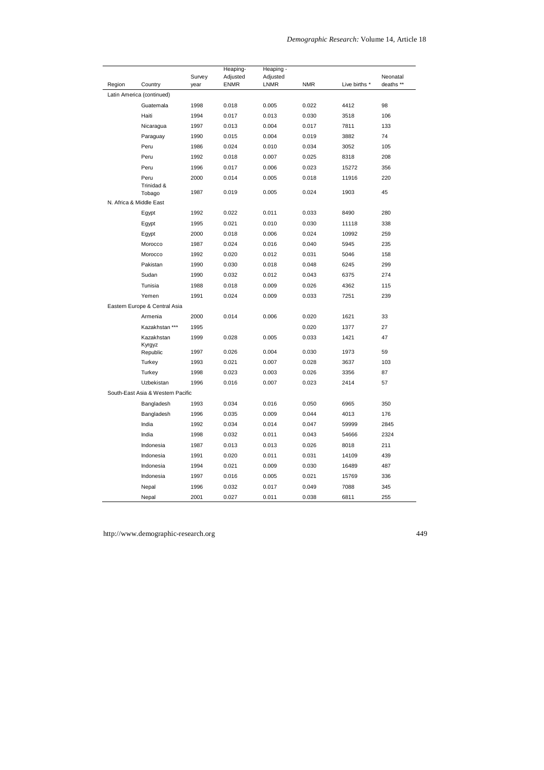|        |                                   | Survey | Heaping-<br>Adjusted | Heaping -<br>Adjusted |            |               | Neonatal  |
|--------|-----------------------------------|--------|----------------------|-----------------------|------------|---------------|-----------|
| Region | Country                           | year   | <b>ENMR</b>          | <b>LNMR</b>           | <b>NMR</b> | Live births * | deaths ** |
|        | Latin America (continued)         |        |                      |                       |            |               |           |
|        | Guatemala                         | 1998   | 0.018                | 0.005                 | 0.022      | 4412          | 98        |
|        | Haiti                             | 1994   | 0.017                | 0.013                 | 0.030      | 3518          | 106       |
|        | Nicaragua                         | 1997   | 0.013                | 0.004                 | 0.017      | 7811          | 133       |
|        | Paraguay                          | 1990   | 0.015                | 0.004                 | 0.019      | 3882          | 74        |
|        | Peru                              | 1986   | 0.024                | 0.010                 | 0.034      | 3052          | 105       |
|        | Peru                              | 1992   | 0.018                | 0.007                 | 0.025      | 8318          | 208       |
|        | Peru                              | 1996   | 0.017                | 0.006                 | 0.023      | 15272         | 356       |
|        | Peru                              | 2000   | 0.014                | 0.005                 | 0.018      | 11916         | 220       |
|        | Trinidad &<br>Tobago              | 1987   | 0.019                | 0.005                 | 0.024      | 1903          | 45        |
|        | N. Africa & Middle East           |        |                      |                       |            |               |           |
|        | Egypt                             | 1992   | 0.022                | 0.011                 | 0.033      | 8490          | 280       |
|        | Egypt                             | 1995   | 0.021                | 0.010                 | 0.030      | 11118         | 338       |
|        | Egypt                             | 2000   | 0.018                | 0.006                 | 0.024      | 10992         | 259       |
|        | Morocco                           | 1987   | 0.024                | 0.016                 | 0.040      | 5945          | 235       |
|        | Morocco                           | 1992   | 0.020                | 0.012                 | 0.031      | 5046          | 158       |
|        | Pakistan                          | 1990   | 0.030                | 0.018                 | 0.048      | 6245          | 299       |
|        | Sudan                             | 1990   | 0.032                | 0.012                 | 0.043      | 6375          | 274       |
|        | Tunisia                           | 1988   | 0.018                | 0.009                 | 0.026      | 4362          | 115       |
|        | Yemen                             | 1991   | 0.024                | 0.009                 | 0.033      | 7251          | 239       |
|        | Eastern Europe & Central Asia     |        |                      |                       |            |               |           |
|        | Armenia                           | 2000   | 0.014                | 0.006                 | 0.020      | 1621          | 33        |
|        | Kazakhstan ***                    | 1995   |                      |                       | 0.020      | 1377          | 27        |
|        | Kazakhstan<br>Kyrgyz              | 1999   | 0.028                | 0.005                 | 0.033      | 1421          | 47        |
|        | Republic                          | 1997   | 0.026                | 0.004                 | 0.030      | 1973          | 59        |
|        | Turkey                            | 1993   | 0.021                | 0.007                 | 0.028      | 3637          | 103       |
|        | Turkey                            | 1998   | 0.023                | 0.003                 | 0.026      | 3356          | 87        |
|        | Uzbekistan                        | 1996   | 0.016                | 0.007                 | 0.023      | 2414          | 57        |
|        | South-East Asia & Western Pacific |        |                      |                       |            |               |           |
|        | Bangladesh                        | 1993   | 0.034                | 0.016                 | 0.050      | 6965          | 350       |
|        | Bangladesh                        | 1996   | 0.035                | 0.009                 | 0.044      | 4013          | 176       |
|        | India                             | 1992   | 0.034                | 0.014                 | 0.047      | 59999         | 2845      |
|        | India                             | 1998   | 0.032                | 0.011                 | 0.043      | 54666         | 2324      |
|        | Indonesia                         | 1987   | 0.013                | 0.013                 | 0.026      | 8018          | 211       |
|        | Indonesia                         | 1991   | 0.020                | 0.011                 | 0.031      | 14109         | 439       |
|        | Indonesia                         | 1994   | 0.021                | 0.009                 | 0.030      | 16489         | 487       |
|        | Indonesia                         | 1997   | 0.016                | 0.005                 | 0.021      | 15769         | 336       |
|        | Nepal                             | 1996   | 0.032                | 0.017                 | 0.049      | 7088          | 345       |
|        | Nepal                             | 2001   | 0.027                | 0.011                 | 0.038      | 6811          | 255       |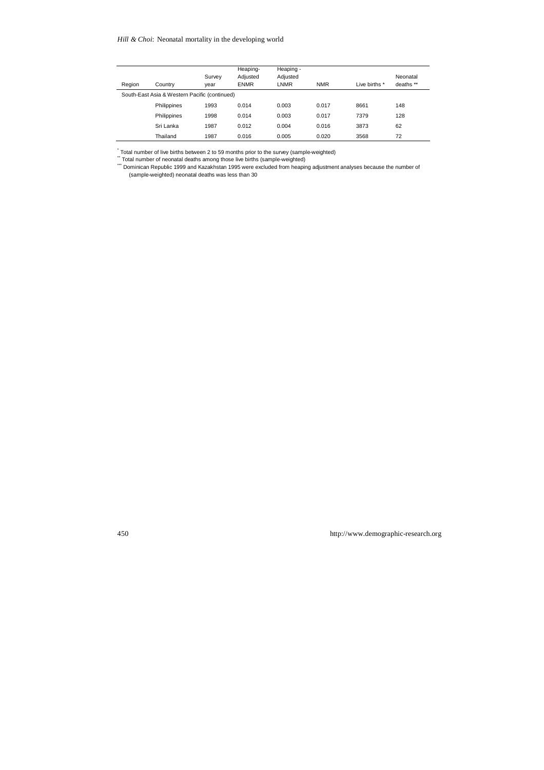#### *Hill & Choi*: Neonatal mortality in the developing world

| Region                                        | Country     | Survey<br>vear | Heaping-<br>Adiusted<br><b>ENMR</b> | Heaping -<br>Adjusted<br><b>LNMR</b> | <b>NMR</b> | Live births * | Neonatal<br>deaths ** |
|-----------------------------------------------|-------------|----------------|-------------------------------------|--------------------------------------|------------|---------------|-----------------------|
| South-East Asia & Western Pacific (continued) |             |                |                                     |                                      |            |               |                       |
|                                               | Philippines | 1993           | 0.014                               | 0.003                                | 0.017      | 8661          | 148                   |
|                                               | Philippines | 1998           | 0.014                               | 0.003                                | 0.017      | 7379          | 128                   |
|                                               | Sri Lanka   | 1987           | 0.012                               | 0.004                                | 0.016      | 3873          | 62                    |
|                                               | Thailand    | 1987           | 0.016                               | 0.005                                | 0.020      | 3568          | 72                    |

.<br>\* Total number of live births between 2 to 59 months prior to the survey (sample-weighted)<br>\* Total number of neonatal deaths among those live births (sample-weighted)

\*\*\*\* Dominican Republic 1999 and Kazakhstan 1995 were excluded from heaping adjustment analyses because the number of (sample-weighted) neonatal deaths was less than 30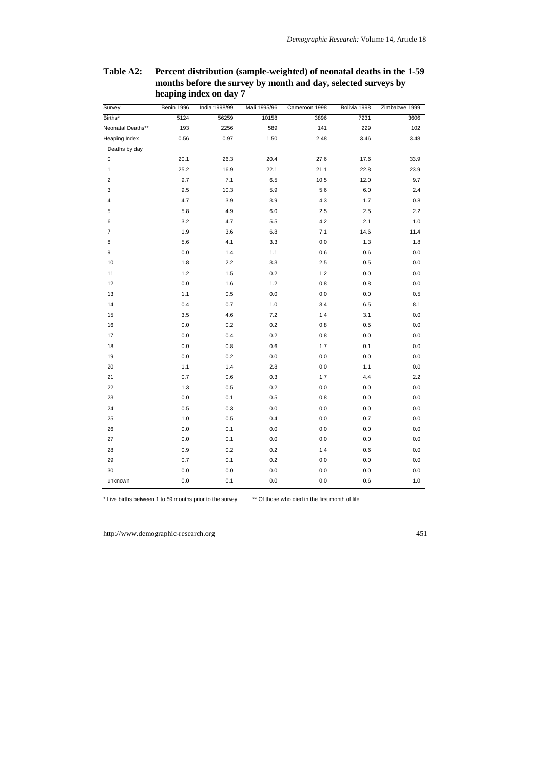| Survey            | Benin 1996 | India 1998/99 | Mali 1995/96 | Cameroon 1998 | Bolivia 1998 | Zimbabwe 1999 |
|-------------------|------------|---------------|--------------|---------------|--------------|---------------|
| Births*           | 5124       | 56259         | 10158        | 3896          | 7231         | 3606          |
| Neonatal Deaths** | 193        | 2256          | 589          | 141           | 229          | 102           |
| Heaping Index     | 0.56       | 0.97          | 1.50         | 2.48          | 3.46         | 3.48          |
| Deaths by day     |            |               |              |               |              |               |
| $\mathsf 0$       | 20.1       | 26.3          | 20.4         | 27.6          | 17.6         | 33.9          |
| $\mathbf{1}$      | 25.2       | 16.9          | 22.1         | 21.1          | 22.8         | 23.9          |
| $\sqrt{2}$        | 9.7        | 7.1           | 6.5          | 10.5          | 12.0         | 9.7           |
| 3                 | 9.5        | 10.3          | 5.9          | 5.6           | 6.0          | 2.4           |
| 4                 | 4.7        | 3.9           | 3.9          | 4.3           | 1.7          | 0.8           |
| 5                 | 5.8        | 4.9           | 6.0          | 2.5           | 2.5          | 2.2           |
| 6                 | 3.2        | 4.7           | 5.5          | 4.2           | 2.1          | 1.0           |
| $\overline{7}$    | 1.9        | 3.6           | 6.8          | 7.1           | 14.6         | 11.4          |
| 8                 | 5.6        | 4.1           | 3.3          | 0.0           | 1.3          | 1.8           |
| 9                 | 0.0        | 1.4           | 1.1          | 0.6           | 0.6          | 0.0           |
| 10                | 1.8        | 2.2           | 3.3          | 2.5           | 0.5          | 0.0           |
| 11                | 1.2        | 1.5           | 0.2          | 1.2           | 0.0          | 0.0           |
| 12                | 0.0        | 1.6           | 1.2          | 0.8           | 0.8          | 0.0           |
| 13                | 1.1        | 0.5           | 0.0          | 0.0           | 0.0          | 0.5           |
| 14                | 0.4        | 0.7           | 1.0          | 3.4           | 6.5          | 8.1           |
| 15                | 3.5        | 4.6           | 7.2          | 1.4           | 3.1          | 0.0           |
| 16                | 0.0        | 0.2           | 0.2          | 0.8           | 0.5          | 0.0           |
| 17                | 0.0        | 0.4           | 0.2          | 0.8           | $0.0\,$      | 0.0           |
| 18                | 0.0        | 0.8           | 0.6          | 1.7           | 0.1          | 0.0           |
| 19                | 0.0        | 0.2           | 0.0          | 0.0           | 0.0          | 0.0           |
| 20                | 1.1        | 1.4           | 2.8          | 0.0           | 1.1          | 0.0           |
| 21                | 0.7        | 0.6           | 0.3          | 1.7           | 4.4          | 2.2           |
| 22                | 1.3        | 0.5           | 0.2          | 0.0           | 0.0          | 0.0           |
| 23                | 0.0        | 0.1           | 0.5          | 0.8           | 0.0          | 0.0           |
| 24                | 0.5        | 0.3           | 0.0          | 0.0           | 0.0          | 0.0           |
| 25                | 1.0        | 0.5           | 0.4          | 0.0           | 0.7          | 0.0           |
| 26                | 0.0        | 0.1           | 0.0          | 0.0           | 0.0          | 0.0           |
| 27                | 0.0        | 0.1           | 0.0          | 0.0           | 0.0          | 0.0           |
| 28                | 0.9        | 0.2           | 0.2          | 1.4           | 0.6          | 0.0           |
| 29                | 0.7        | 0.1           | 0.2          | 0.0           | 0.0          | 0.0           |
| 30                | 0.0        | 0.0           | 0.0          | 0.0           | 0.0          | 0.0           |
| unknown           | 0.0        | 0.1           | 0.0          | 0.0           | 0.6          | 1.0           |

## **Table A2: Percent distribution (sample-weighted) of neonatal deaths in the 1-59 months before the survey by month and day, selected surveys by heaping index on day 7**

\* Live births between 1 to 59 months prior to the survey \*\* Of those who died in the first month of life